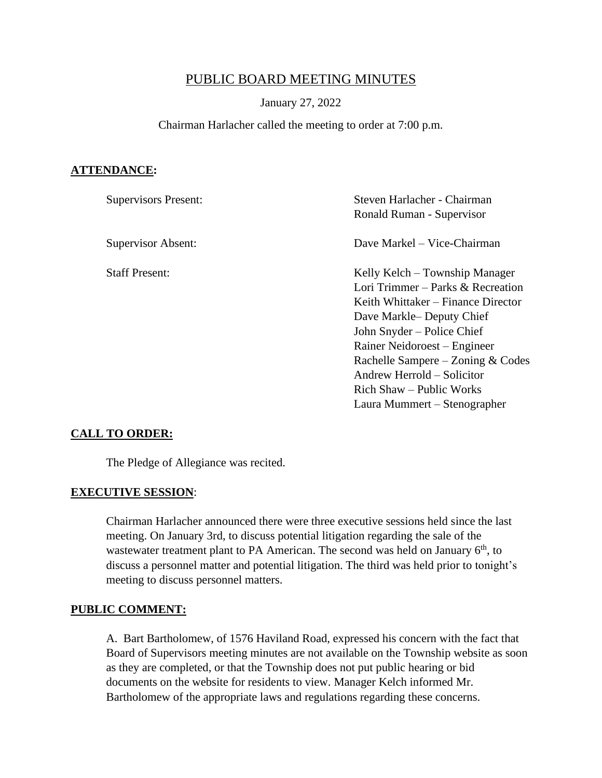# PUBLIC BOARD MEETING MINUTES

#### January 27, 2022

#### Chairman Harlacher called the meeting to order at 7:00 p.m.

#### **ATTENDANCE:**

| <b>Supervisors Present:</b> | Steven Harlacher - Chairman<br>Ronald Ruman - Supervisor |
|-----------------------------|----------------------------------------------------------|
| Supervisor Absent:          | Dave Markel – Vice-Chairman                              |
| <b>Staff Present:</b>       | Kelly Kelch – Township Manager                           |
|                             | Lori Trimmer – Parks & Recreation                        |
|                             | Keith Whittaker – Finance Director                       |
|                             | Dave Markle-Deputy Chief                                 |
|                             | John Snyder – Police Chief                               |
|                             | Rainer Neidoroest – Engineer                             |
|                             | Rachelle Sampere – Zoning & Codes                        |
|                             | Andrew Herrold – Solicitor                               |
|                             | Rich Shaw – Public Works                                 |
|                             | Laura Mummert – Stenographer                             |

#### **CALL TO ORDER:**

The Pledge of Allegiance was recited.

#### **EXECUTIVE SESSION**:

Chairman Harlacher announced there were three executive sessions held since the last meeting. On January 3rd, to discuss potential litigation regarding the sale of the wastewater treatment plant to PA American. The second was held on January  $6<sup>th</sup>$ , to discuss a personnel matter and potential litigation. The third was held prior to tonight's meeting to discuss personnel matters.

#### **PUBLIC COMMENT:**

A. Bart Bartholomew, of 1576 Haviland Road, expressed his concern with the fact that Board of Supervisors meeting minutes are not available on the Township website as soon as they are completed, or that the Township does not put public hearing or bid documents on the website for residents to view. Manager Kelch informed Mr. Bartholomew of the appropriate laws and regulations regarding these concerns.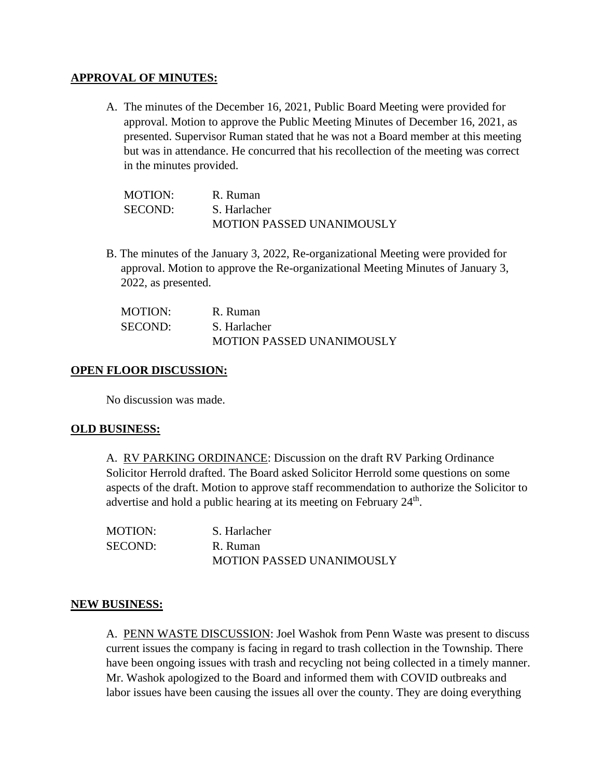### **APPROVAL OF MINUTES:**

A. The minutes of the December 16, 2021, Public Board Meeting were provided for approval. Motion to approve the Public Meeting Minutes of December 16, 2021, as presented. Supervisor Ruman stated that he was not a Board member at this meeting but was in attendance. He concurred that his recollection of the meeting was correct in the minutes provided.

| <b>MOTION:</b> | R. Ruman                         |
|----------------|----------------------------------|
| SECOND:        | S. Harlacher                     |
|                | <b>MOTION PASSED UNANIMOUSLY</b> |

B. The minutes of the January 3, 2022, Re-organizational Meeting were provided for approval. Motion to approve the Re-organizational Meeting Minutes of January 3, 2022, as presented.

| <b>MOTION:</b> | R. Ruman                         |
|----------------|----------------------------------|
| <b>SECOND:</b> | S. Harlacher                     |
|                | <b>MOTION PASSED UNANIMOUSLY</b> |

## **OPEN FLOOR DISCUSSION:**

No discussion was made.

#### **OLD BUSINESS:**

A. RV PARKING ORDINANCE: Discussion on the draft RV Parking Ordinance Solicitor Herrold drafted. The Board asked Solicitor Herrold some questions on some aspects of the draft. Motion to approve staff recommendation to authorize the Solicitor to advertise and hold a public hearing at its meeting on February  $24<sup>th</sup>$ .

| <b>MOTION:</b> | S. Harlacher                     |
|----------------|----------------------------------|
| <b>SECOND:</b> | R. Ruman                         |
|                | <b>MOTION PASSED UNANIMOUSLY</b> |

#### **NEW BUSINESS:**

A. PENN WASTE DISCUSSION: Joel Washok from Penn Waste was present to discuss current issues the company is facing in regard to trash collection in the Township. There have been ongoing issues with trash and recycling not being collected in a timely manner. Mr. Washok apologized to the Board and informed them with COVID outbreaks and labor issues have been causing the issues all over the county. They are doing everything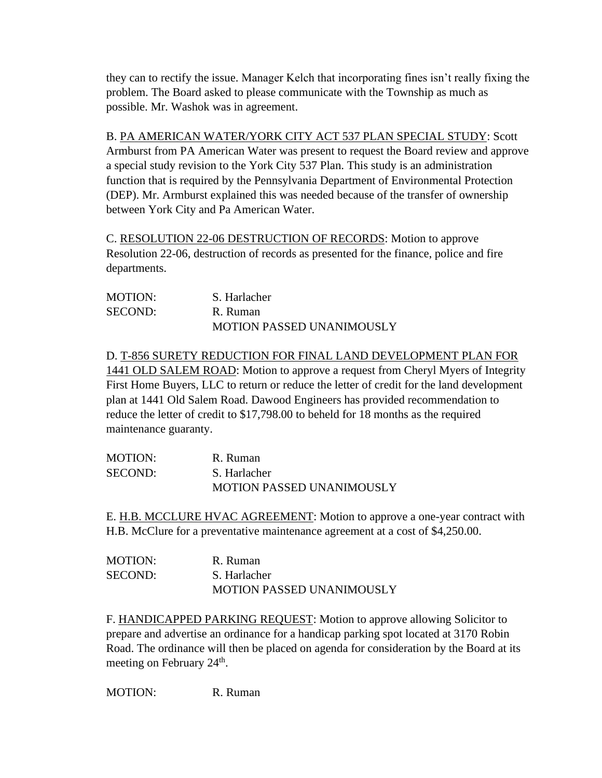they can to rectify the issue. Manager Kelch that incorporating fines isn't really fixing the problem. The Board asked to please communicate with the Township as much as possible. Mr. Washok was in agreement.

#### B. PA AMERICAN WATER/YORK CITY ACT 537 PLAN SPECIAL STUDY: Scott

Armburst from PA American Water was present to request the Board review and approve a special study revision to the York City 537 Plan. This study is an administration function that is required by the Pennsylvania Department of Environmental Protection (DEP). Mr. Armburst explained this was needed because of the transfer of ownership between York City and Pa American Water.

C. RESOLUTION 22-06 DESTRUCTION OF RECORDS: Motion to approve Resolution 22-06, destruction of records as presented for the finance, police and fire departments.

| <b>MOTION:</b> | S. Harlacher                     |
|----------------|----------------------------------|
| SECOND:        | R. Ruman                         |
|                | <b>MOTION PASSED UNANIMOUSLY</b> |

D. T-856 SURETY REDUCTION FOR FINAL LAND DEVELOPMENT PLAN FOR 1441 OLD SALEM ROAD: Motion to approve a request from Cheryl Myers of Integrity First Home Buyers, LLC to return or reduce the letter of credit for the land development plan at 1441 Old Salem Road. Dawood Engineers has provided recommendation to reduce the letter of credit to \$17,798.00 to beheld for 18 months as the required maintenance guaranty.

| <b>MOTION:</b> | R. Ruman                  |
|----------------|---------------------------|
| SECOND:        | S. Harlacher              |
|                | MOTION PASSED UNANIMOUSLY |

E. H.B. MCCLURE HVAC AGREEMENT: Motion to approve a one-year contract with H.B. McClure for a preventative maintenance agreement at a cost of \$4,250.00.

| <b>MOTION:</b> | R. Ruman                         |
|----------------|----------------------------------|
| SECOND:        | S. Harlacher                     |
|                | <b>MOTION PASSED UNANIMOUSLY</b> |

F. HANDICAPPED PARKING REQUEST: Motion to approve allowing Solicitor to prepare and advertise an ordinance for a handicap parking spot located at 3170 Robin Road. The ordinance will then be placed on agenda for consideration by the Board at its meeting on February  $24^{\text{th}}$ .

MOTION: R. Ruman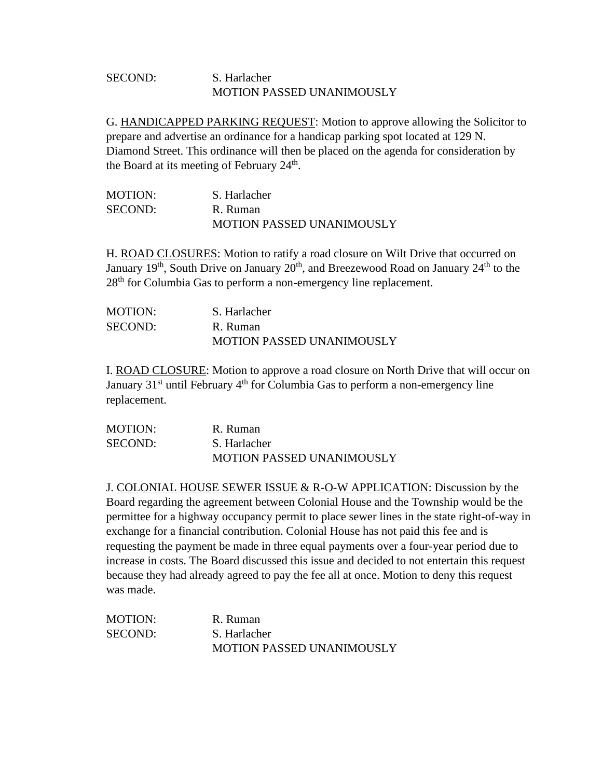## SECOND: S. Harlacher MOTION PASSED UNANIMOUSLY

G. HANDICAPPED PARKING REQUEST: Motion to approve allowing the Solicitor to prepare and advertise an ordinance for a handicap parking spot located at 129 N. Diamond Street. This ordinance will then be placed on the agenda for consideration by the Board at its meeting of February 24<sup>th</sup>.

| <b>MOTION:</b> | S. Harlacher                     |
|----------------|----------------------------------|
| SECOND:        | R. Ruman                         |
|                | <b>MOTION PASSED UNANIMOUSLY</b> |

H. ROAD CLOSURES: Motion to ratify a road closure on Wilt Drive that occurred on January  $19<sup>th</sup>$ , South Drive on January  $20<sup>th</sup>$ , and Breezewood Road on January  $24<sup>th</sup>$  to the 28<sup>th</sup> for Columbia Gas to perform a non-emergency line replacement.

| MOTION: | S. Harlacher                     |
|---------|----------------------------------|
| SECOND: | R. Ruman                         |
|         | <b>MOTION PASSED UNANIMOUSLY</b> |

I. ROAD CLOSURE: Motion to approve a road closure on North Drive that will occur on January  $31<sup>st</sup>$  until February  $4<sup>th</sup>$  for Columbia Gas to perform a non-emergency line replacement.

| <b>MOTION:</b> | R. Ruman                         |
|----------------|----------------------------------|
| <b>SECOND:</b> | S. Harlacher                     |
|                | <b>MOTION PASSED UNANIMOUSLY</b> |

J. COLONIAL HOUSE SEWER ISSUE & R-O-W APPLICATION: Discussion by the Board regarding the agreement between Colonial House and the Township would be the permittee for a highway occupancy permit to place sewer lines in the state right-of-way in exchange for a financial contribution. Colonial House has not paid this fee and is requesting the payment be made in three equal payments over a four-year period due to increase in costs. The Board discussed this issue and decided to not entertain this request because they had already agreed to pay the fee all at once. Motion to deny this request was made.

| <b>MOTION:</b> | R. Ruman                         |
|----------------|----------------------------------|
| SECOND:        | S. Harlacher                     |
|                | <b>MOTION PASSED UNANIMOUSLY</b> |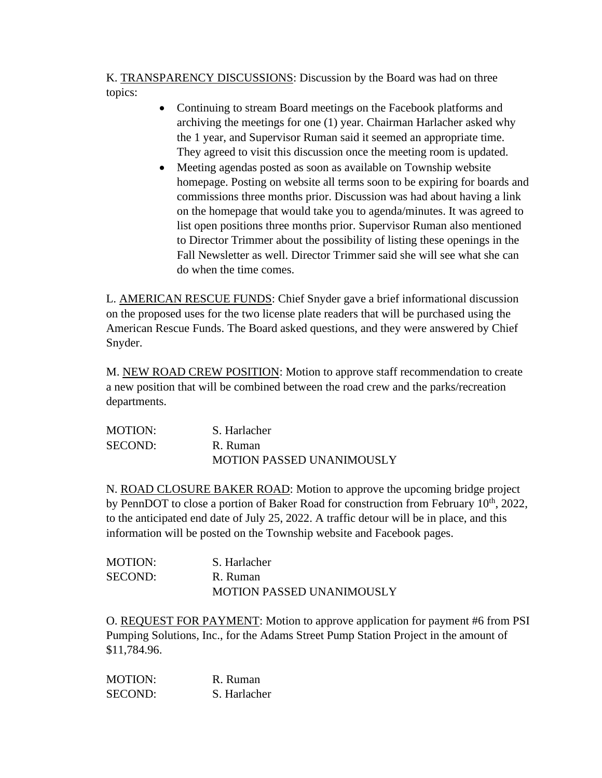K. TRANSPARENCY DISCUSSIONS: Discussion by the Board was had on three topics:

- Continuing to stream Board meetings on the Facebook platforms and archiving the meetings for one (1) year. Chairman Harlacher asked why the 1 year, and Supervisor Ruman said it seemed an appropriate time. They agreed to visit this discussion once the meeting room is updated.
- Meeting agendas posted as soon as available on Township website homepage. Posting on website all terms soon to be expiring for boards and commissions three months prior. Discussion was had about having a link on the homepage that would take you to agenda/minutes. It was agreed to list open positions three months prior. Supervisor Ruman also mentioned to Director Trimmer about the possibility of listing these openings in the Fall Newsletter as well. Director Trimmer said she will see what she can do when the time comes.

L. AMERICAN RESCUE FUNDS: Chief Snyder gave a brief informational discussion on the proposed uses for the two license plate readers that will be purchased using the American Rescue Funds. The Board asked questions, and they were answered by Chief Snyder.

M. NEW ROAD CREW POSITION: Motion to approve staff recommendation to create a new position that will be combined between the road crew and the parks/recreation departments.

| <b>MOTION:</b> | S. Harlacher                     |
|----------------|----------------------------------|
| <b>SECOND:</b> | R. Ruman                         |
|                | <b>MOTION PASSED UNANIMOUSLY</b> |

N. ROAD CLOSURE BAKER ROAD: Motion to approve the upcoming bridge project by PennDOT to close a portion of Baker Road for construction from February 10<sup>th</sup>, 2022, to the anticipated end date of July 25, 2022. A traffic detour will be in place, and this information will be posted on the Township website and Facebook pages.

| <b>MOTION:</b> | S. Harlacher                     |
|----------------|----------------------------------|
| SECOND:        | R. Ruman                         |
|                | <b>MOTION PASSED UNANIMOUSLY</b> |

O. REQUEST FOR PAYMENT: Motion to approve application for payment #6 from PSI Pumping Solutions, Inc., for the Adams Street Pump Station Project in the amount of \$11,784.96.

| <b>MOTION:</b> | R. Ruman     |
|----------------|--------------|
| SECOND:        | S. Harlacher |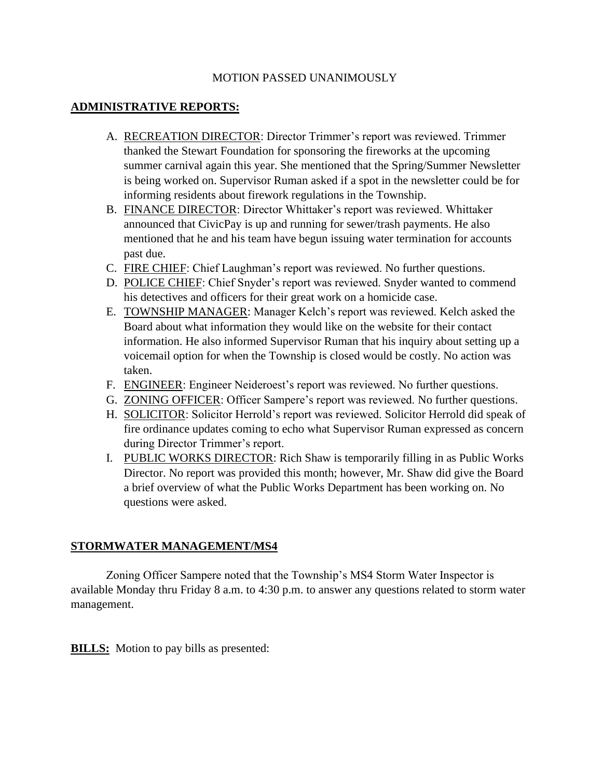## MOTION PASSED UNANIMOUSLY

## **ADMINISTRATIVE REPORTS:**

- A. RECREATION DIRECTOR: Director Trimmer's report was reviewed. Trimmer thanked the Stewart Foundation for sponsoring the fireworks at the upcoming summer carnival again this year. She mentioned that the Spring/Summer Newsletter is being worked on. Supervisor Ruman asked if a spot in the newsletter could be for informing residents about firework regulations in the Township.
- B. FINANCE DIRECTOR: Director Whittaker's report was reviewed. Whittaker announced that CivicPay is up and running for sewer/trash payments. He also mentioned that he and his team have begun issuing water termination for accounts past due.
- C. FIRE CHIEF: Chief Laughman's report was reviewed. No further questions.
- D. POLICE CHIEF: Chief Snyder's report was reviewed. Snyder wanted to commend his detectives and officers for their great work on a homicide case.
- E. TOWNSHIP MANAGER: Manager Kelch's report was reviewed. Kelch asked the Board about what information they would like on the website for their contact information. He also informed Supervisor Ruman that his inquiry about setting up a voicemail option for when the Township is closed would be costly. No action was taken.
- F. ENGINEER: Engineer Neideroest's report was reviewed. No further questions.
- G. ZONING OFFICER: Officer Sampere's report was reviewed. No further questions.
- H. SOLICITOR: Solicitor Herrold's report was reviewed. Solicitor Herrold did speak of fire ordinance updates coming to echo what Supervisor Ruman expressed as concern during Director Trimmer's report.
- I. PUBLIC WORKS DIRECTOR: Rich Shaw is temporarily filling in as Public Works Director. No report was provided this month; however, Mr. Shaw did give the Board a brief overview of what the Public Works Department has been working on. No questions were asked.

#### **STORMWATER MANAGEMENT/MS4**

Zoning Officer Sampere noted that the Township's MS4 Storm Water Inspector is available Monday thru Friday 8 a.m. to 4:30 p.m. to answer any questions related to storm water management.

**BILLS:** Motion to pay bills as presented: